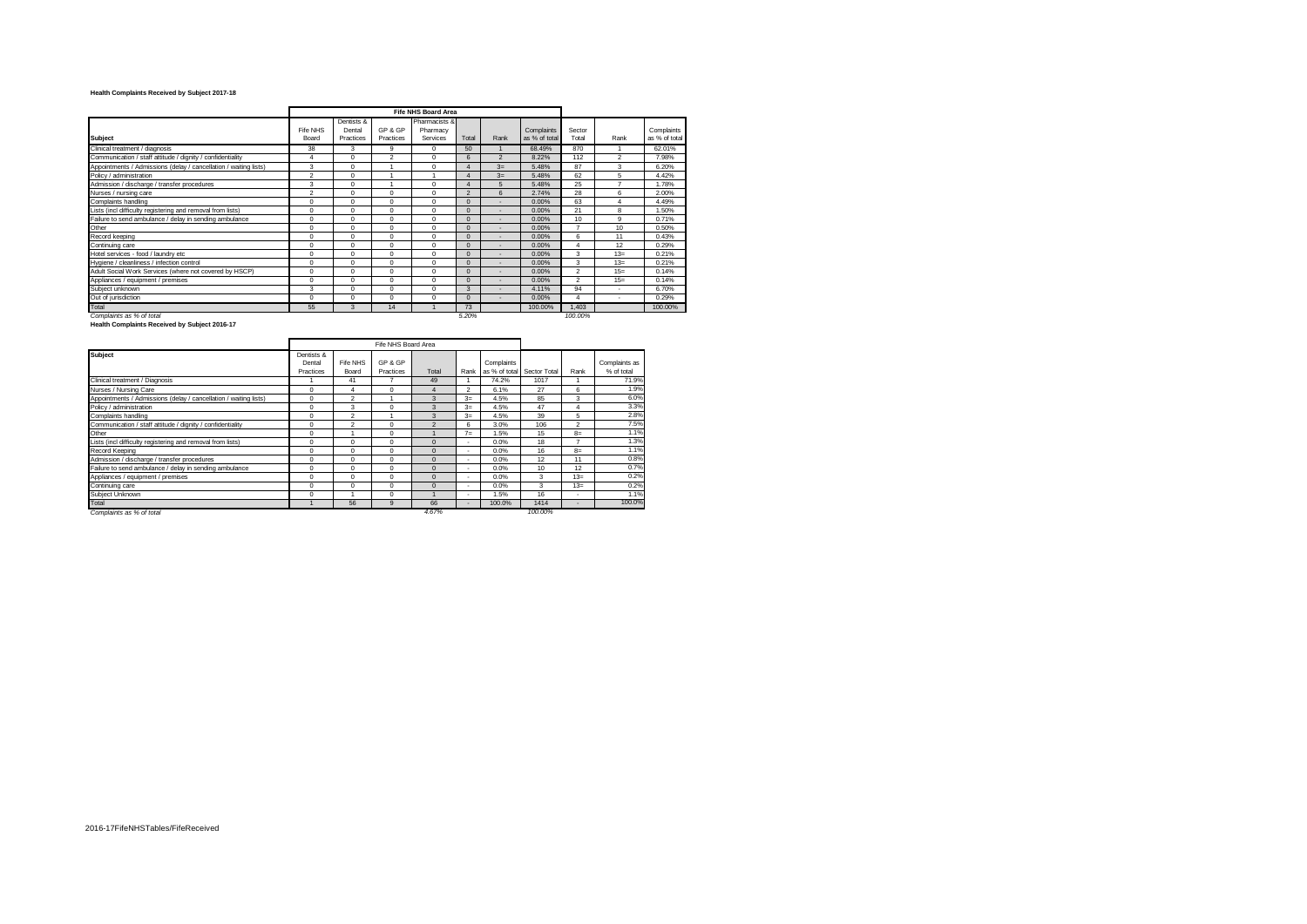## **Health Complaints Received by Subject 2017-18**

|                                                                  | <b>Fife NHS Board Area</b> |                                   |                      |                                       |                |                  |                             |                 |                |                             |
|------------------------------------------------------------------|----------------------------|-----------------------------------|----------------------|---------------------------------------|----------------|------------------|-----------------------------|-----------------|----------------|-----------------------------|
| <b>Subject</b>                                                   | Fife NHS<br>Board          | Dentists &<br>Dental<br>Practices | GP & GP<br>Practices | Pharmacists &<br>Pharmacy<br>Services | Total          | Rank             | Complaints<br>as % of total | Sector<br>Total | Rank           | Complaints<br>as % of total |
| Clinical treatment / diagnosis                                   | 38                         | 3                                 | 9                    | $\Omega$                              | 50             |                  | 68.49%                      | 870             |                | 62.01%                      |
| Communication / staff attitude / dignity / confidentiality       | 4                          | $\Omega$                          | $\overline{2}$       | $\Omega$                              | 6              | $\overline{2}$   | 8.22%                       | 112             | $\mathfrak{p}$ | 7.98%                       |
| Appointments / Admissions (delay / cancellation / waiting lists) | 3                          | $\Omega$                          |                      | $\Omega$                              |                | $3=$             | 5.48%                       | 87              | 3              | 6.20%                       |
| Policy / administration                                          | $\overline{2}$             | $\Omega$                          |                      |                                       |                | $3=$             | 5.48%                       | 62              | 5              | 4.42%                       |
| Admission / discharge / transfer procedures                      | 3                          | $\Omega$                          |                      | $\Omega$                              |                | 5                | 5.48%                       | 25              | ۰,             | 1.78%                       |
| Nurses / nursing care                                            | $\overline{2}$             | $\Omega$                          | $\Omega$             | $\Omega$                              | $\mathfrak{p}$ | $6 \overline{6}$ | 2.74%                       | 28              | 6              | 2.00%                       |
| Complaints handling                                              | $\Omega$                   | $\Omega$                          | $\Omega$             | $\Omega$                              | $\Omega$       |                  | 0.00%                       | 63              | $\overline{4}$ | 4.49%                       |
| Lists (incl difficulty registering and removal from lists)       | $\Omega$                   | $\Omega$                          | $\Omega$             | $\Omega$                              | $\Omega$       |                  | 0.00%                       | 21              | 8              | 1.50%                       |
| Failure to send ambulance / delay in sending ambulance           | $\Omega$                   | $\Omega$                          | $\Omega$             | $\Omega$                              | $\Omega$       |                  | 0.00%                       | 10              | 9              | 0.71%                       |
| Other                                                            | $\Omega$                   | $\Omega$                          | $\Omega$             | $\Omega$                              | $\Omega$       |                  | 0.00%                       | ۰,              | 10             | 0.50%                       |
| Record keeping                                                   | $\Omega$                   | $\Omega$                          | $\Omega$             | $\Omega$                              | $\Omega$       |                  | 0.00%                       | 6               | 11             | 0.43%                       |
| Continuing care                                                  | $\Omega$                   | $\Omega$                          | $\Omega$             | $\Omega$                              | $\Omega$       | ٠                | 0.00%                       | Δ               | 12             | 0.29%                       |
| Hotel services - food / laundry etc                              | $\Omega$                   | $\Omega$                          | $\Omega$             | $\Omega$                              | $\Omega$       | ٠                | 0.00%                       | 3               | $13 =$         | 0.21%                       |
| Hygiene / cleanliness / infection control                        | $\Omega$                   | 0                                 | $\Omega$             | $\Omega$                              | $\Omega$       | ٠                | 0.00%                       | 3               | $13 =$         | 0.21%                       |
| Adult Social Work Services (where not covered by HSCP)           | $\Omega$                   | 0                                 | $\Omega$             | $\Omega$                              | $\Omega$       |                  | 0.00%                       | $\overline{c}$  | $15=$          | 0.14%                       |
| Appliances / equipment / premises                                | $\Omega$                   | 0                                 | $\Omega$             | $\Omega$                              | $\Omega$       | ۰                | 0.00%                       | $\overline{2}$  | $15=$          | 0.14%                       |
| Subject unknown                                                  | 3                          | $\Omega$                          | $\Omega$             | $\Omega$                              | 3              |                  | 4.11%                       | 94              | ٠              | 6.70%                       |
| Out of jurisdiction                                              | $\Omega$                   | $\Omega$                          | $\Omega$             | $\Omega$                              | $\Omega$       | ٠                | 0.00%                       | 4               | ٠              | 0.29%                       |
| Total                                                            | 55                         | 3                                 | 14                   |                                       | 73             |                  | 100.00%                     | 1,403           |                | 100.00%                     |
| Complaints as % of total                                         |                            |                                   |                      |                                       | 5.20%          |                  |                             | 100.00%         |                |                             |
| Health Complaints Received by Subject 2016-17                    |                            |                                   |                      |                                       |                |                  |                             |                 |                |                             |

 $\overline{\phantom{a}}$ 

|                                                                  |                                   |                   | Fife NHS Board Area  |                |                          |                             |              |                          |                             |
|------------------------------------------------------------------|-----------------------------------|-------------------|----------------------|----------------|--------------------------|-----------------------------|--------------|--------------------------|-----------------------------|
| <b>Subject</b>                                                   | Dentists &<br>Dental<br>Practices | Fife NHS<br>Board | GP & GP<br>Practices | Total          | Rank                     | Complaints<br>as % of total | Sector Total | Rank                     | Complaints as<br>% of total |
| Clinical treatment / Diagnosis                                   |                                   | 41                |                      | 49             |                          | 74.2%                       | 1017         |                          | 71.9%                       |
| Nurses / Nursing Care                                            | $\Omega$                          | 4                 | $\Omega$             | 4              | $\mathfrak{p}$           | 6.1%                        | 27           | 6                        | 1.9%                        |
| Appointments / Admissions (delay / cancellation / waiting lists) | 0                                 | $\overline{2}$    |                      | $\mathbf{3}$   | $3=$                     | 4.5%                        | 85           | 3                        | 6.0%                        |
| Policy / administration                                          | $\Omega$                          | 3                 | 0                    | 3              | $3=$                     | 4.5%                        | 47           | 4                        | 3.3%                        |
| Complaints handling                                              | $\Omega$                          | $\overline{2}$    |                      | 3              | $3=$                     | 4.5%                        | 39           | 5                        | 2.8%                        |
| Communication / staff attitude / dignity / confidentiality       | $\Omega$                          | $\mathfrak{p}$    | $\Omega$             | $\mathfrak{p}$ | 6                        | 3.0%                        | 106          | $\mathfrak{p}$           | 7.5%                        |
| Other                                                            | 0                                 |                   | $\Omega$             |                | 7 <sub>ii</sub>          | 1.5%                        | 15           | $8=$                     | 1.1%                        |
| Lists (incl difficulty registering and removal from lists)       | 0                                 | $\Omega$          | $\Omega$             | $\Omega$       | ٠                        | 0.0%                        | 18           | -                        | 1.3%                        |
| Record Keeping                                                   | 0                                 | 0                 | $\mathbf 0$          | $\Omega$       | ۰                        | 0.0%                        | 16           | $8=$                     | 1.1%                        |
| Admission / discharge / transfer procedures                      | 0                                 | $\Omega$          | $\Omega$             | $\Omega$       | ۰                        | 0.0%                        | 12           | 11                       | 0.8%                        |
| Failure to send ambulance / delay in sending ambulance           | 0                                 | $\Omega$          | 0                    | $\Omega$       | ٠                        | 0.0%                        | 10           | 12                       | 0.7%                        |
| Appliances / equipment / premises                                | 0                                 | $\Omega$          | $\Omega$             | $\Omega$       | ۰                        | 0.0%                        | 3            | $13 =$                   | 0.2%                        |
| Continuing care                                                  | 0                                 | $\Omega$          | 0                    | $\mathbf{0}$   | ۰                        | 0.0%                        | 3            | $13 =$                   | 0.2%                        |
| Subject Unknown                                                  | $\Omega$                          |                   | $\Omega$             |                | ۰                        | 1.5%                        | 16           | $\overline{\phantom{a}}$ | 1.1%                        |
| Total                                                            |                                   | 56                | 9                    | 66             | $\overline{\phantom{a}}$ | 100.0%                      | 1414         | $\,$                     | 100.0%                      |
| Complaints as % of total                                         |                                   |                   |                      | 4.67%          |                          |                             | 100.00%      |                          |                             |

.